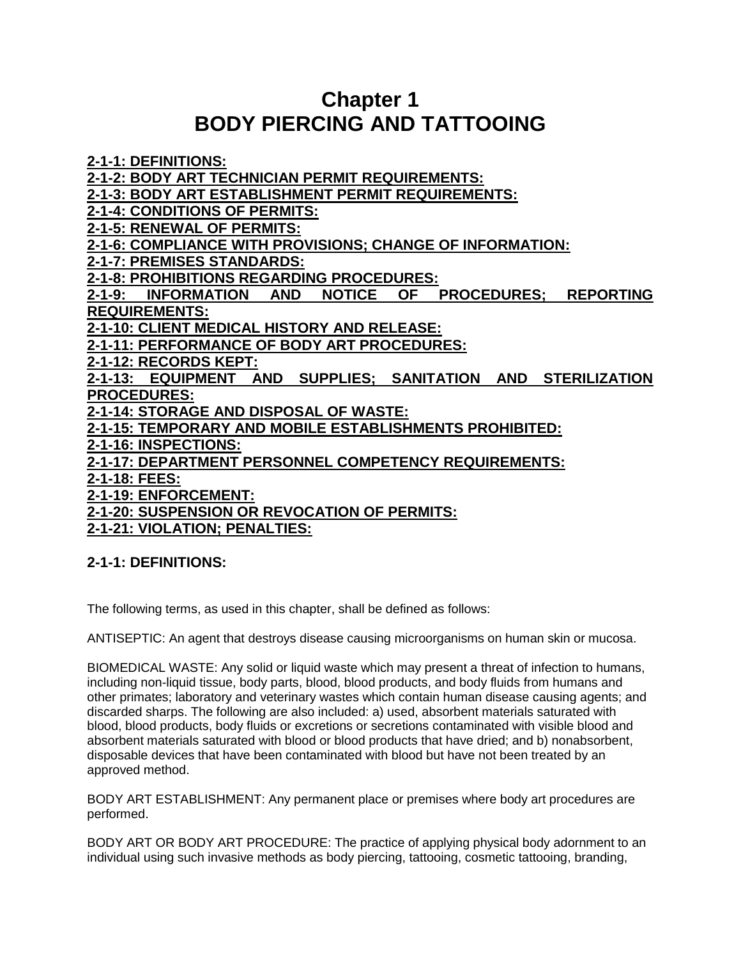# **Chapter 1 BODY PIERCING AND TATTOOING**

**[2-1-1: DEFINITIONS:](http://www.sterlingcodifiers.com/codebook/getBookData.php?chapter_id=47672#s436749)**

**[2-1-2: BODY ART TECHNICIAN PERMIT REQUIREMENTS:](http://www.sterlingcodifiers.com/codebook/getBookData.php?chapter_id=47672#s436750)**

**[2-1-3: BODY ART ESTABLISHMENT PERMIT REQUIREMENTS:](http://www.sterlingcodifiers.com/codebook/getBookData.php?chapter_id=47672#s436751)**

**[2-1-4: CONDITIONS OF PERMITS:](http://www.sterlingcodifiers.com/codebook/getBookData.php?chapter_id=47672#s436752)**

**[2-1-5: RENEWAL OF PERMITS:](http://www.sterlingcodifiers.com/codebook/getBookData.php?chapter_id=47672#s436753)**

**[2-1-6: COMPLIANCE WITH PROVISIONS; CHANGE OF INFORMATION:](http://www.sterlingcodifiers.com/codebook/getBookData.php?chapter_id=47672#s436754)**

**[2-1-7: PREMISES STANDARDS:](http://www.sterlingcodifiers.com/codebook/getBookData.php?chapter_id=47672#s436755)**

**[2-1-8: PROHIBITIONS REGARDING PROCEDURES:](http://www.sterlingcodifiers.com/codebook/getBookData.php?chapter_id=47672#s436756)**

**[2-1-9: INFORMATION AND NOTICE OF PROCEDURES; REPORTING](http://www.sterlingcodifiers.com/codebook/getBookData.php?chapter_id=47672#s436757)  [REQUIREMENTS:](http://www.sterlingcodifiers.com/codebook/getBookData.php?chapter_id=47672#s436757)**

**[2-1-10: CLIENT MEDICAL HISTORY AND RELEASE:](http://www.sterlingcodifiers.com/codebook/getBookData.php?chapter_id=47672#s436758)**

**[2-1-11: PERFORMANCE OF BODY ART PROCEDURES:](http://www.sterlingcodifiers.com/codebook/getBookData.php?chapter_id=47672#s436759)**

**[2-1-12: RECORDS KEPT:](http://www.sterlingcodifiers.com/codebook/getBookData.php?chapter_id=47672#s436760)**

**[2-1-13: EQUIPMENT AND SUPPLIES; SANITATION AND STERILIZATION](http://www.sterlingcodifiers.com/codebook/getBookData.php?chapter_id=47672#s436761)  [PROCEDURES:](http://www.sterlingcodifiers.com/codebook/getBookData.php?chapter_id=47672#s436761)**

**[2-1-14: STORAGE AND DISPOSAL OF WASTE:](http://www.sterlingcodifiers.com/codebook/getBookData.php?chapter_id=47672#s436762)**

**[2-1-15: TEMPORARY AND MOBILE ESTABLISHMENTS PROHIBITED:](http://www.sterlingcodifiers.com/codebook/getBookData.php?chapter_id=47672#s436763)**

**[2-1-16: INSPECTIONS:](http://www.sterlingcodifiers.com/codebook/getBookData.php?chapter_id=47672#s436764)**

**[2-1-17: DEPARTMENT PERSONNEL COMPETENCY REQUIREMENTS:](http://www.sterlingcodifiers.com/codebook/getBookData.php?chapter_id=47672#s436765)**

**[2-1-18: FEES:](http://www.sterlingcodifiers.com/codebook/getBookData.php?chapter_id=47672#s436766)**

**[2-1-19: ENFORCEMENT:](http://www.sterlingcodifiers.com/codebook/getBookData.php?chapter_id=47672#s436767)**

**[2-1-20: SUSPENSION OR REVOCATION OF PERMITS:](http://www.sterlingcodifiers.com/codebook/getBookData.php?chapter_id=47672#s436768)**

**[2-1-21: VIOLATION; PENALTIES:](http://www.sterlingcodifiers.com/codebook/getBookData.php?chapter_id=47672#s436769)**

## **2-1-1: DEFINITIONS:**

The following terms, as used in this chapter, shall be defined as follows:

ANTISEPTIC: An agent that destroys disease causing microorganisms on human skin or mucosa.

BIOMEDICAL WASTE: Any solid or liquid waste which may present a threat of infection to humans, including non-liquid tissue, body parts, blood, blood products, and body fluids from humans and other primates; laboratory and veterinary wastes which contain human disease causing agents; and discarded sharps. The following are also included: a) used, absorbent materials saturated with blood, blood products, body fluids or excretions or secretions contaminated with visible blood and absorbent materials saturated with blood or blood products that have dried; and b) nonabsorbent, disposable devices that have been contaminated with blood but have not been treated by an approved method.

BODY ART ESTABLISHMENT: Any permanent place or premises where body art procedures are performed.

BODY ART OR BODY ART PROCEDURE: The practice of applying physical body adornment to an individual using such invasive methods as body piercing, tattooing, cosmetic tattooing, branding,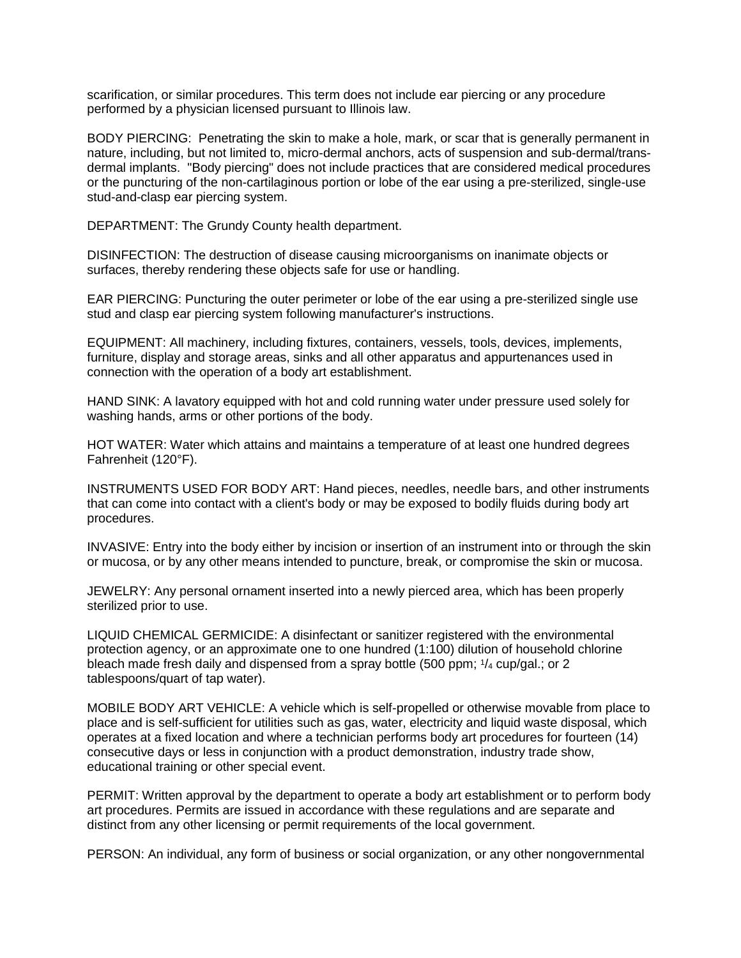scarification, or similar procedures. This term does not include ear piercing or any procedure performed by a physician licensed pursuant to Illinois law.

BODY PIERCING: Penetrating the skin to make a hole, mark, or scar that is generally permanent in nature, including, but not limited to, micro-dermal anchors, acts of suspension and sub-dermal/transdermal implants. "Body piercing" does not include practices that are considered medical procedures or the puncturing of the non-cartilaginous portion or lobe of the ear using a pre-sterilized, single-use stud-and-clasp ear piercing system.

DEPARTMENT: The Grundy County health department.

DISINFECTION: The destruction of disease causing microorganisms on inanimate objects or surfaces, thereby rendering these objects safe for use or handling.

EAR PIERCING: Puncturing the outer perimeter or lobe of the ear using a pre-sterilized single use stud and clasp ear piercing system following manufacturer's instructions.

EQUIPMENT: All machinery, including fixtures, containers, vessels, tools, devices, implements, furniture, display and storage areas, sinks and all other apparatus and appurtenances used in connection with the operation of a body art establishment.

HAND SINK: A lavatory equipped with hot and cold running water under pressure used solely for washing hands, arms or other portions of the body.

HOT WATER: Water which attains and maintains a temperature of at least one hundred degrees Fahrenheit (120°F).

INSTRUMENTS USED FOR BODY ART: Hand pieces, needles, needle bars, and other instruments that can come into contact with a client's body or may be exposed to bodily fluids during body art procedures.

INVASIVE: Entry into the body either by incision or insertion of an instrument into or through the skin or mucosa, or by any other means intended to puncture, break, or compromise the skin or mucosa.

JEWELRY: Any personal ornament inserted into a newly pierced area, which has been properly sterilized prior to use.

LIQUID CHEMICAL GERMICIDE: A disinfectant or sanitizer registered with the environmental protection agency, or an approximate one to one hundred (1:100) dilution of household chlorine bleach made fresh daily and dispensed from a spray bottle (500 ppm; <sup>1</sup> /<sup>4</sup> cup/gal.; or 2 tablespoons/quart of tap water).

MOBILE BODY ART VEHICLE: A vehicle which is self-propelled or otherwise movable from place to place and is self-sufficient for utilities such as gas, water, electricity and liquid waste disposal, which operates at a fixed location and where a technician performs body art procedures for fourteen (14) consecutive days or less in conjunction with a product demonstration, industry trade show, educational training or other special event.

PERMIT: Written approval by the department to operate a body art establishment or to perform body art procedures. Permits are issued in accordance with these regulations and are separate and distinct from any other licensing or permit requirements of the local government.

PERSON: An individual, any form of business or social organization, or any other nongovernmental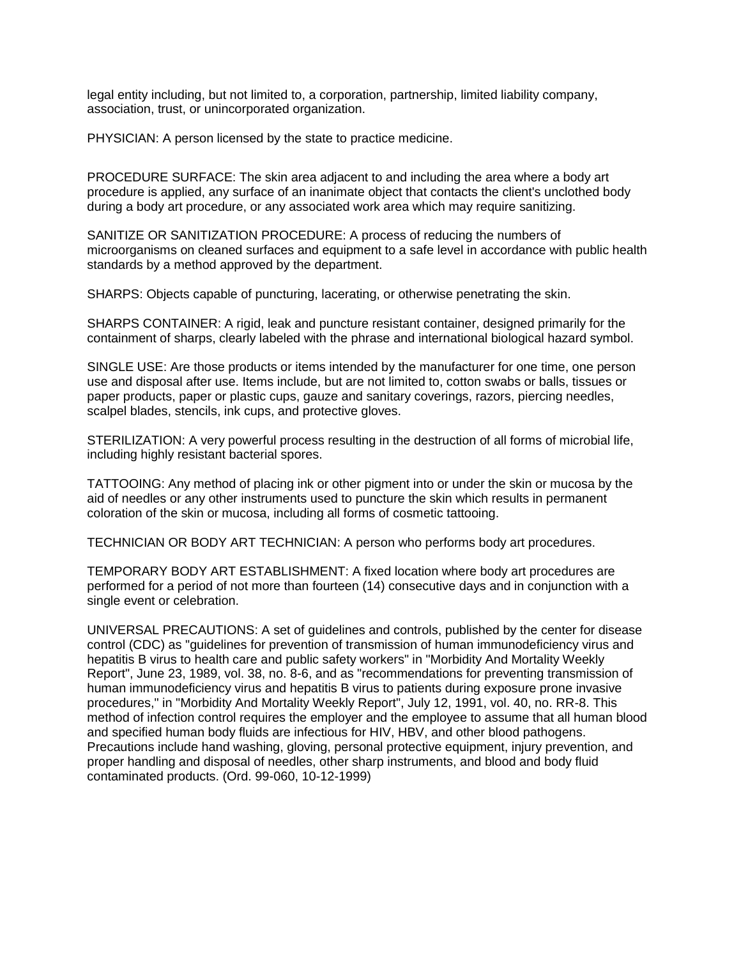legal entity including, but not limited to, a corporation, partnership, limited liability company, association, trust, or unincorporated organization.

PHYSICIAN: A person licensed by the state to practice medicine.

PROCEDURE SURFACE: The skin area adjacent to and including the area where a body art procedure is applied, any surface of an inanimate object that contacts the client's unclothed body during a body art procedure, or any associated work area which may require sanitizing.

SANITIZE OR SANITIZATION PROCEDURE: A process of reducing the numbers of microorganisms on cleaned surfaces and equipment to a safe level in accordance with public health standards by a method approved by the department.

SHARPS: Objects capable of puncturing, lacerating, or otherwise penetrating the skin.

SHARPS CONTAINER: A rigid, leak and puncture resistant container, designed primarily for the containment of sharps, clearly labeled with the phrase and international biological hazard symbol.

SINGLE USE: Are those products or items intended by the manufacturer for one time, one person use and disposal after use. Items include, but are not limited to, cotton swabs or balls, tissues or paper products, paper or plastic cups, gauze and sanitary coverings, razors, piercing needles, scalpel blades, stencils, ink cups, and protective gloves.

STERILIZATION: A very powerful process resulting in the destruction of all forms of microbial life, including highly resistant bacterial spores.

TATTOOING: Any method of placing ink or other pigment into or under the skin or mucosa by the aid of needles or any other instruments used to puncture the skin which results in permanent coloration of the skin or mucosa, including all forms of cosmetic tattooing.

TECHNICIAN OR BODY ART TECHNICIAN: A person who performs body art procedures.

TEMPORARY BODY ART ESTABLISHMENT: A fixed location where body art procedures are performed for a period of not more than fourteen (14) consecutive days and in conjunction with a single event or celebration.

UNIVERSAL PRECAUTIONS: A set of guidelines and controls, published by the center for disease control (CDC) as "guidelines for prevention of transmission of human immunodeficiency virus and hepatitis B virus to health care and public safety workers" in "Morbidity And Mortality Weekly Report", June 23, 1989, vol. 38, no. 8-6, and as "recommendations for preventing transmission of human immunodeficiency virus and hepatitis B virus to patients during exposure prone invasive procedures," in "Morbidity And Mortality Weekly Report", July 12, 1991, vol. 40, no. RR-8. This method of infection control requires the employer and the employee to assume that all human blood and specified human body fluids are infectious for HIV, HBV, and other blood pathogens. Precautions include hand washing, gloving, personal protective equipment, injury prevention, and proper handling and disposal of needles, other sharp instruments, and blood and body fluid contaminated products. (Ord. 99-060, 10-12-1999)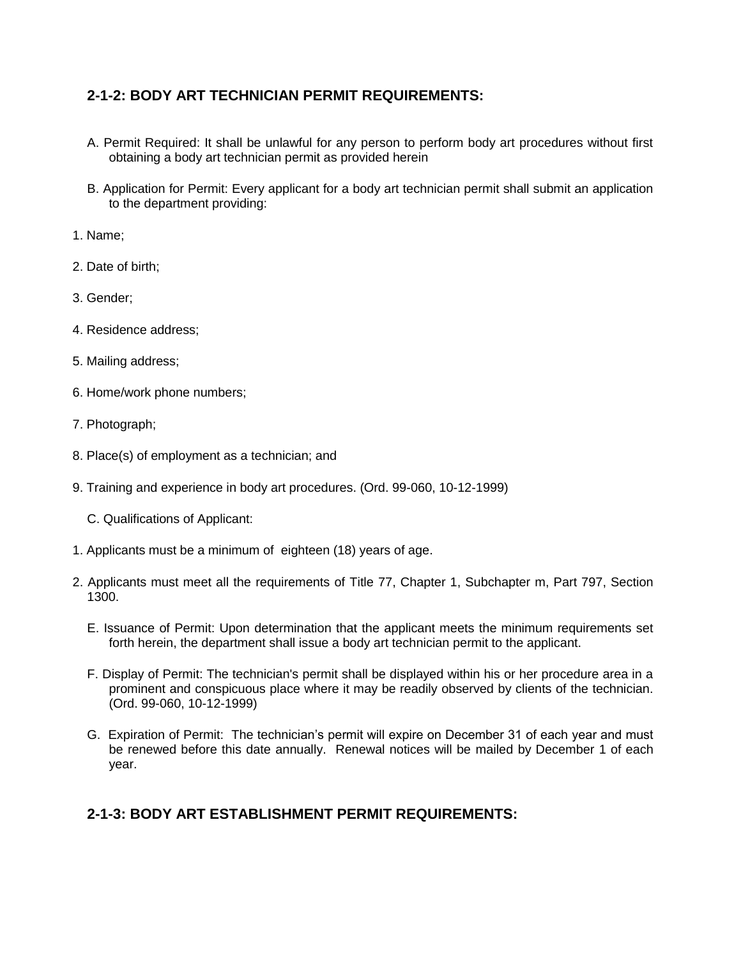### **2-1-2: BODY ART TECHNICIAN PERMIT REQUIREMENTS:**

- A. Permit Required: It shall be unlawful for any person to perform body art procedures without first obtaining a body art technician permit as provided herein
- B. Application for Permit: Every applicant for a body art technician permit shall submit an application to the department providing:
- 1. Name;
- 2. Date of birth;
- 3. Gender;
- 4. Residence address;
- 5. Mailing address;
- 6. Home/work phone numbers;
- 7. Photograph;
- 8. Place(s) of employment as a technician; and
- 9. Training and experience in body art procedures. (Ord. 99-060, 10-12-1999)
	- C. Qualifications of Applicant:
- 1. Applicants must be a minimum of eighteen (18) years of age.
- 2. Applicants must meet all the requirements of Title 77, Chapter 1, Subchapter m, Part 797, Section 1300.
	- E. Issuance of Permit: Upon determination that the applicant meets the minimum requirements set forth herein, the department shall issue a body art technician permit to the applicant.
	- F. Display of Permit: The technician's permit shall be displayed within his or her procedure area in a prominent and conspicuous place where it may be readily observed by clients of the technician. (Ord. 99-060, 10-12-1999)
	- G. Expiration of Permit: The technician's permit will expire on December 31 of each year and must be renewed before this date annually. Renewal notices will be mailed by December 1 of each year.

## **2-1-3: BODY ART ESTABLISHMENT PERMIT REQUIREMENTS:**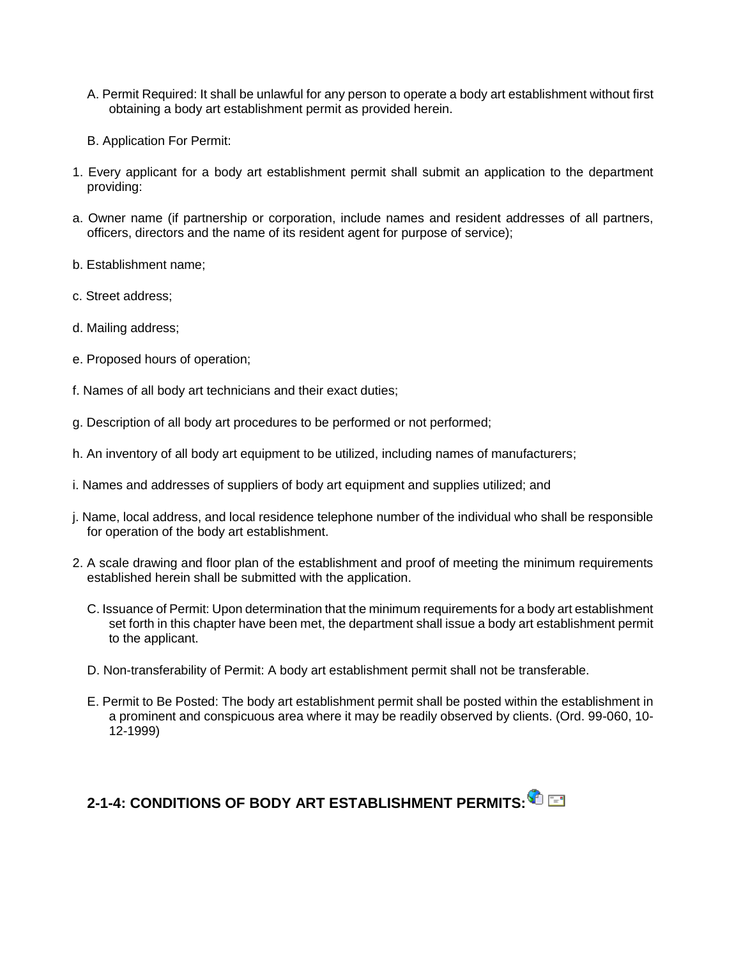- A. Permit Required: It shall be unlawful for any person to operate a body art establishment without first obtaining a body art establishment permit as provided herein.
- B. Application For Permit:
- 1. Every applicant for a body art establishment permit shall submit an application to the department providing:
- a. Owner name (if partnership or corporation, include names and resident addresses of all partners, officers, directors and the name of its resident agent for purpose of service);
- b. Establishment name;
- c. Street address;
- d. Mailing address;
- e. Proposed hours of operation;
- f. Names of all body art technicians and their exact duties;
- g. Description of all body art procedures to be performed or not performed;
- h. An inventory of all body art equipment to be utilized, including names of manufacturers;
- i. Names and addresses of suppliers of body art equipment and supplies utilized; and
- j. Name, local address, and local residence telephone number of the individual who shall be responsible for operation of the body art establishment.
- 2. A scale drawing and floor plan of the establishment and proof of meeting the minimum requirements established herein shall be submitted with the application.
	- C. Issuance of Permit: Upon determination that the minimum requirements for a body art establishment set forth in this chapter have been met, the department shall issue a body art establishment permit to the applicant.
	- D. Non-transferability of Permit: A body art establishment permit shall not be transferable.
	- E. Permit to Be Posted: The body art establishment permit shall be posted within the establishment in a prominent and conspicuous area where it may be readily observed by clients. (Ord. 99-060, 10- 12-1999)

## **2-1-4: CONDITIONS OF BODY ART ESTABLISHMENT PERMITS:**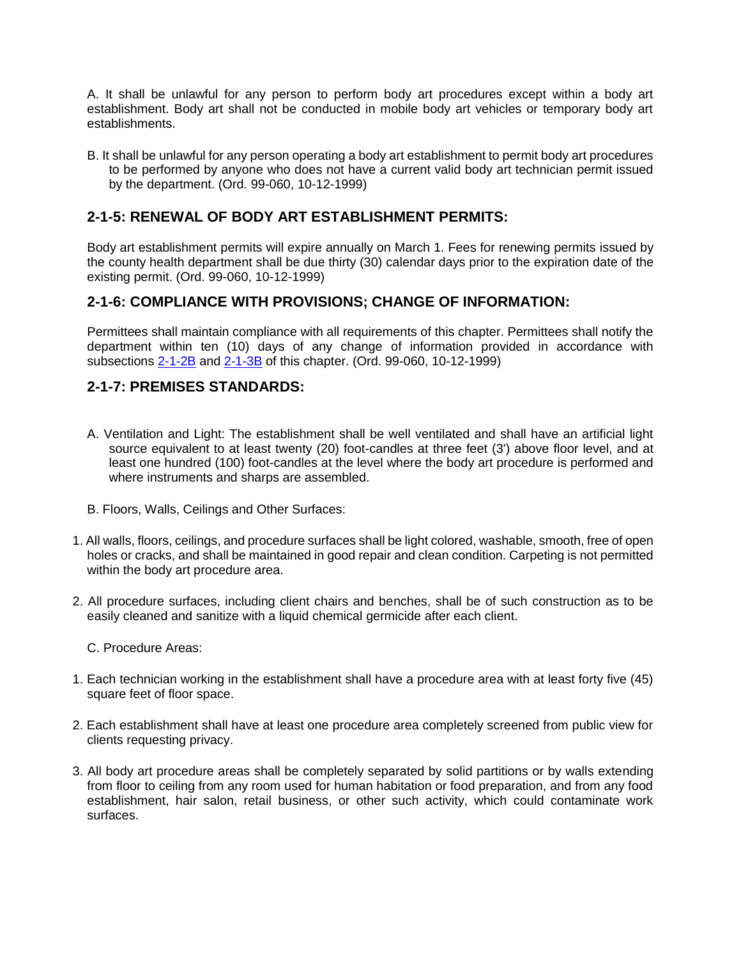A. It shall be unlawful for any person to perform body art procedures except within a body art establishment. Body art shall not be conducted in mobile body art vehicles or temporary body art establishments.

B. It shall be unlawful for any person operating a body art establishment to permit body art procedures to be performed by anyone who does not have a current valid body art technician permit issued by the department. (Ord. 99-060, 10-12-1999)

#### **2-1-5: RENEWAL OF BODY ART ESTABLISHMENT PERMITS:**

Body art establishment permits will expire annually on March 1. Fees for renewing permits issued by the county health department shall be due thirty (30) calendar days prior to the expiration date of the existing permit. (Ord. 99-060, 10-12-1999)

#### **2-1-6: COMPLIANCE WITH PROVISIONS; CHANGE OF INFORMATION:**

Permittees shall maintain compliance with all requirements of this chapter. Permittees shall notify the department within ten (10) days of any change of information provided in accordance with subsections [2-1-2B](http://www.sterlingcodifiers.com/codebook/getBookData.php?ft=3&find=2-1-2B) and [2-1-3B](http://www.sterlingcodifiers.com/codebook/getBookData.php?ft=3&find=2-1-3B) of this chapter. (Ord. 99-060, 10-12-1999)

#### **2-1-7: PREMISES STANDARDS:**

- A. Ventilation and Light: The establishment shall be well ventilated and shall have an artificial light source equivalent to at least twenty (20) foot-candles at three feet (3') above floor level, and at least one hundred (100) foot-candles at the level where the body art procedure is performed and where instruments and sharps are assembled.
- B. Floors, Walls, Ceilings and Other Surfaces:
- 1. All walls, floors, ceilings, and procedure surfaces shall be light colored, washable, smooth, free of open holes or cracks, and shall be maintained in good repair and clean condition. Carpeting is not permitted within the body art procedure area.
- 2. All procedure surfaces, including client chairs and benches, shall be of such construction as to be easily cleaned and sanitize with a liquid chemical germicide after each client.
	- C. Procedure Areas:
- 1. Each technician working in the establishment shall have a procedure area with at least forty five (45) square feet of floor space.
- 2. Each establishment shall have at least one procedure area completely screened from public view for clients requesting privacy.
- 3. All body art procedure areas shall be completely separated by solid partitions or by walls extending from floor to ceiling from any room used for human habitation or food preparation, and from any food establishment, hair salon, retail business, or other such activity, which could contaminate work surfaces.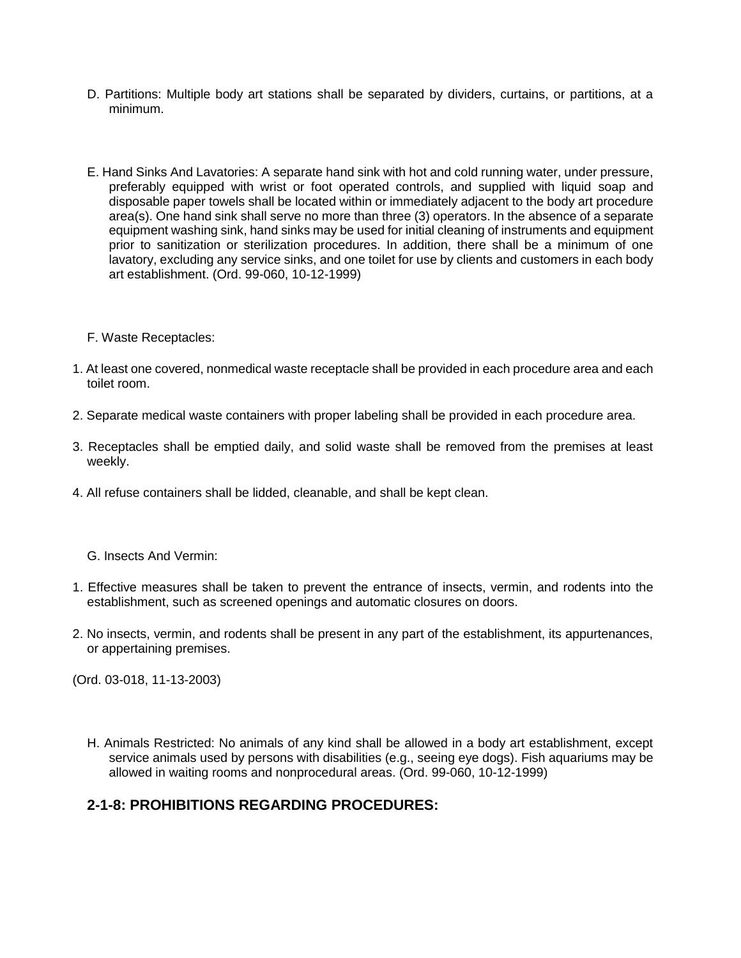- D. Partitions: Multiple body art stations shall be separated by dividers, curtains, or partitions, at a minimum.
- E. Hand Sinks And Lavatories: A separate hand sink with hot and cold running water, under pressure, preferably equipped with wrist or foot operated controls, and supplied with liquid soap and disposable paper towels shall be located within or immediately adjacent to the body art procedure area(s). One hand sink shall serve no more than three (3) operators. In the absence of a separate equipment washing sink, hand sinks may be used for initial cleaning of instruments and equipment prior to sanitization or sterilization procedures. In addition, there shall be a minimum of one lavatory, excluding any service sinks, and one toilet for use by clients and customers in each body art establishment. (Ord. 99-060, 10-12-1999)
- F. Waste Receptacles:
- 1. At least one covered, nonmedical waste receptacle shall be provided in each procedure area and each toilet room.
- 2. Separate medical waste containers with proper labeling shall be provided in each procedure area.
- 3. Receptacles shall be emptied daily, and solid waste shall be removed from the premises at least weekly.
- 4. All refuse containers shall be lidded, cleanable, and shall be kept clean.
	- G. Insects And Vermin:
- 1. Effective measures shall be taken to prevent the entrance of insects, vermin, and rodents into the establishment, such as screened openings and automatic closures on doors.
- 2. No insects, vermin, and rodents shall be present in any part of the establishment, its appurtenances, or appertaining premises.

(Ord. 03-018, 11-13-2003)

H. Animals Restricted: No animals of any kind shall be allowed in a body art establishment, except service animals used by persons with disabilities (e.g., seeing eye dogs). Fish aquariums may be allowed in waiting rooms and nonprocedural areas. (Ord. 99-060, 10-12-1999)

#### **2-1-8: PROHIBITIONS REGARDING PROCEDURES:**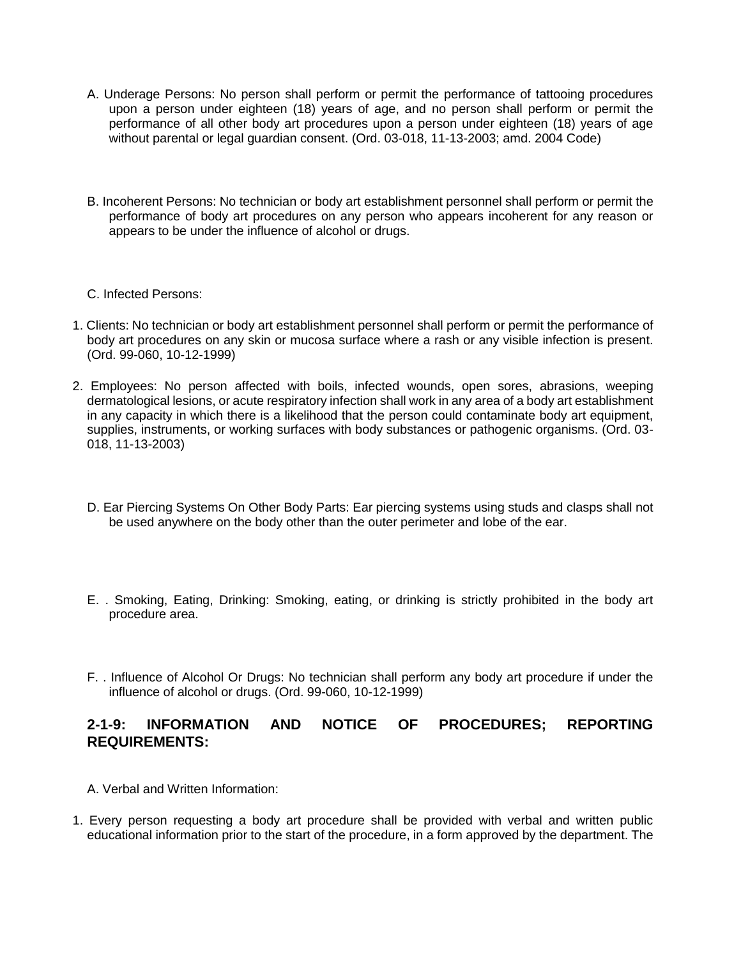- A. Underage Persons: No person shall perform or permit the performance of tattooing procedures upon a person under eighteen (18) years of age, and no person shall perform or permit the performance of all other body art procedures upon a person under eighteen (18) years of age without parental or legal guardian consent. (Ord. 03-018, 11-13-2003; amd. 2004 Code)
- B. Incoherent Persons: No technician or body art establishment personnel shall perform or permit the performance of body art procedures on any person who appears incoherent for any reason or appears to be under the influence of alcohol or drugs.
- C. Infected Persons:
- 1. Clients: No technician or body art establishment personnel shall perform or permit the performance of body art procedures on any skin or mucosa surface where a rash or any visible infection is present. (Ord. 99-060, 10-12-1999)
- 2. Employees: No person affected with boils, infected wounds, open sores, abrasions, weeping dermatological lesions, or acute respiratory infection shall work in any area of a body art establishment in any capacity in which there is a likelihood that the person could contaminate body art equipment, supplies, instruments, or working surfaces with body substances or pathogenic organisms. (Ord. 03- 018, 11-13-2003)
	- D. Ear Piercing Systems On Other Body Parts: Ear piercing systems using studs and clasps shall not be used anywhere on the body other than the outer perimeter and lobe of the ear.
	- E. . Smoking, Eating, Drinking: Smoking, eating, or drinking is strictly prohibited in the body art procedure area.
	- F. . Influence of Alcohol Or Drugs: No technician shall perform any body art procedure if under the influence of alcohol or drugs. (Ord. 99-060, 10-12-1999)

#### **2-1-9: INFORMATION AND NOTICE OF PROCEDURES; REPORTING REQUIREMENTS:**

- A. Verbal and Written Information:
- 1. Every person requesting a body art procedure shall be provided with verbal and written public educational information prior to the start of the procedure, in a form approved by the department. The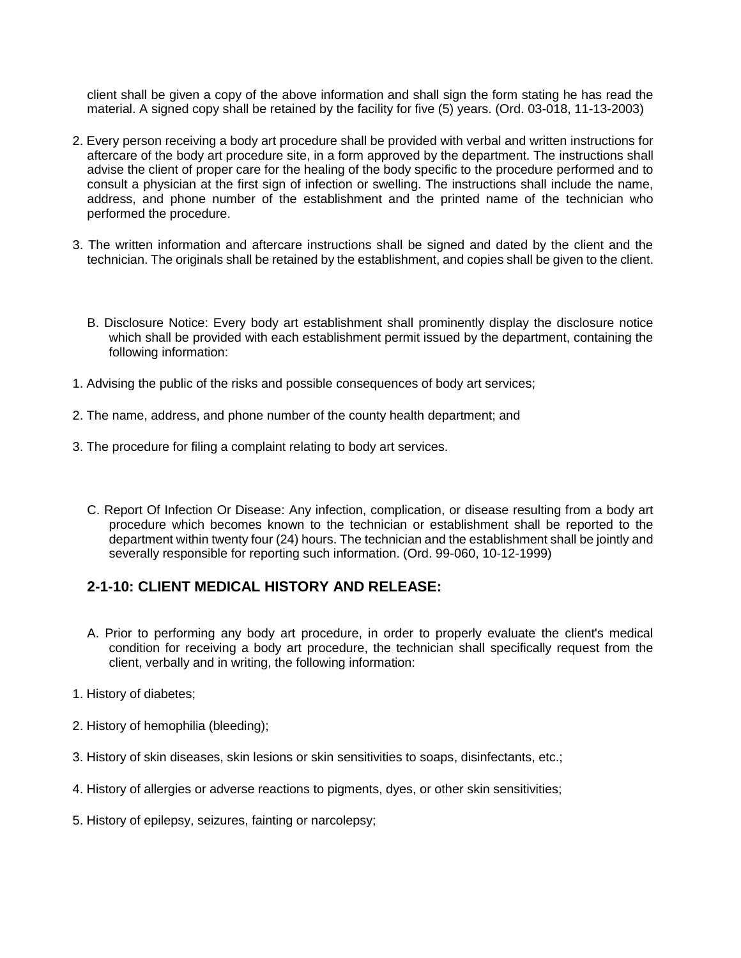client shall be given a copy of the above information and shall sign the form stating he has read the material. A signed copy shall be retained by the facility for five (5) years. (Ord. 03-018, 11-13-2003)

- 2. Every person receiving a body art procedure shall be provided with verbal and written instructions for aftercare of the body art procedure site, in a form approved by the department. The instructions shall advise the client of proper care for the healing of the body specific to the procedure performed and to consult a physician at the first sign of infection or swelling. The instructions shall include the name, address, and phone number of the establishment and the printed name of the technician who performed the procedure.
- 3. The written information and aftercare instructions shall be signed and dated by the client and the technician. The originals shall be retained by the establishment, and copies shall be given to the client.
	- B. Disclosure Notice: Every body art establishment shall prominently display the disclosure notice which shall be provided with each establishment permit issued by the department, containing the following information:
- 1. Advising the public of the risks and possible consequences of body art services;
- 2. The name, address, and phone number of the county health department; and
- 3. The procedure for filing a complaint relating to body art services.
	- C. Report Of Infection Or Disease: Any infection, complication, or disease resulting from a body art procedure which becomes known to the technician or establishment shall be reported to the department within twenty four (24) hours. The technician and the establishment shall be jointly and severally responsible for reporting such information. (Ord. 99-060, 10-12-1999)

#### **2-1-10: CLIENT MEDICAL HISTORY AND RELEASE:**

- A. Prior to performing any body art procedure, in order to properly evaluate the client's medical condition for receiving a body art procedure, the technician shall specifically request from the client, verbally and in writing, the following information:
- 1. History of diabetes;
- 2. History of hemophilia (bleeding);
- 3. History of skin diseases, skin lesions or skin sensitivities to soaps, disinfectants, etc.;
- 4. History of allergies or adverse reactions to pigments, dyes, or other skin sensitivities;
- 5. History of epilepsy, seizures, fainting or narcolepsy;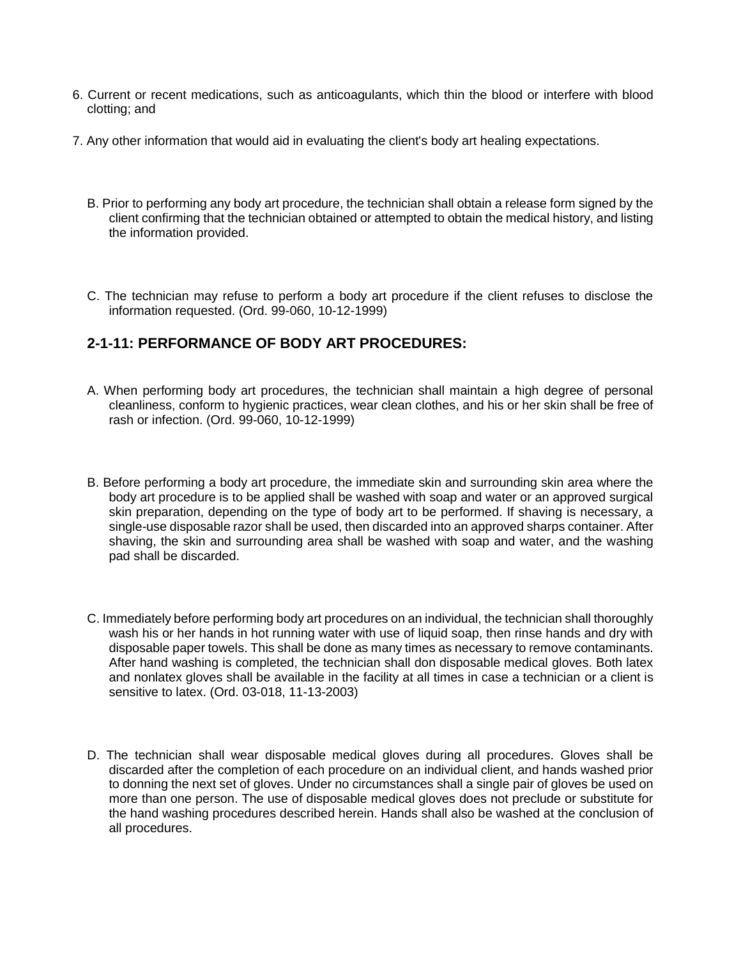- 6. Current or recent medications, such as anticoagulants, which thin the blood or interfere with blood clotting; and
- 7. Any other information that would aid in evaluating the client's body art healing expectations.
	- B. Prior to performing any body art procedure, the technician shall obtain a release form signed by the client confirming that the technician obtained or attempted to obtain the medical history, and listing the information provided.
	- C. The technician may refuse to perform a body art procedure if the client refuses to disclose the information requested. (Ord. 99-060, 10-12-1999)

#### **2-1-11: PERFORMANCE OF BODY ART PROCEDURES:**

- A. When performing body art procedures, the technician shall maintain a high degree of personal cleanliness, conform to hygienic practices, wear clean clothes, and his or her skin shall be free of rash or infection. (Ord. 99-060, 10-12-1999)
- B. Before performing a body art procedure, the immediate skin and surrounding skin area where the body art procedure is to be applied shall be washed with soap and water or an approved surgical skin preparation, depending on the type of body art to be performed. If shaving is necessary, a single-use disposable razor shall be used, then discarded into an approved sharps container. After shaving, the skin and surrounding area shall be washed with soap and water, and the washing pad shall be discarded.
- C. Immediately before performing body art procedures on an individual, the technician shall thoroughly wash his or her hands in hot running water with use of liquid soap, then rinse hands and dry with disposable paper towels. This shall be done as many times as necessary to remove contaminants. After hand washing is completed, the technician shall don disposable medical gloves. Both latex and nonlatex gloves shall be available in the facility at all times in case a technician or a client is sensitive to latex. (Ord. 03-018, 11-13-2003)
- D. The technician shall wear disposable medical gloves during all procedures. Gloves shall be discarded after the completion of each procedure on an individual client, and hands washed prior to donning the next set of gloves. Under no circumstances shall a single pair of gloves be used on more than one person. The use of disposable medical gloves does not preclude or substitute for the hand washing procedures described herein. Hands shall also be washed at the conclusion of all procedures.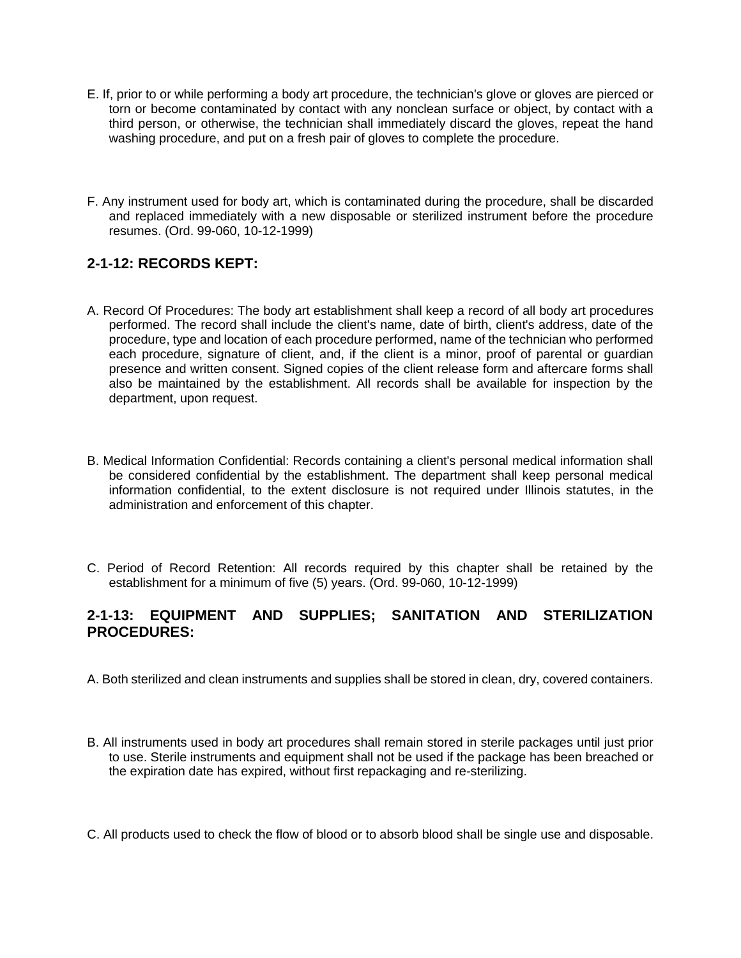- E. If, prior to or while performing a body art procedure, the technician's glove or gloves are pierced or torn or become contaminated by contact with any nonclean surface or object, by contact with a third person, or otherwise, the technician shall immediately discard the gloves, repeat the hand washing procedure, and put on a fresh pair of gloves to complete the procedure.
- F. Any instrument used for body art, which is contaminated during the procedure, shall be discarded and replaced immediately with a new disposable or sterilized instrument before the procedure resumes. (Ord. 99-060, 10-12-1999)

#### **2-1-12: RECORDS KEPT:**

- A. Record Of Procedures: The body art establishment shall keep a record of all body art procedures performed. The record shall include the client's name, date of birth, client's address, date of the procedure, type and location of each procedure performed, name of the technician who performed each procedure, signature of client, and, if the client is a minor, proof of parental or guardian presence and written consent. Signed copies of the client release form and aftercare forms shall also be maintained by the establishment. All records shall be available for inspection by the department, upon request.
- B. Medical Information Confidential: Records containing a client's personal medical information shall be considered confidential by the establishment. The department shall keep personal medical information confidential, to the extent disclosure is not required under Illinois statutes, in the administration and enforcement of this chapter.
- C. Period of Record Retention: All records required by this chapter shall be retained by the establishment for a minimum of five (5) years. (Ord. 99-060, 10-12-1999)

#### **2-1-13: EQUIPMENT AND SUPPLIES; SANITATION AND STERILIZATION PROCEDURES:**

- A. Both sterilized and clean instruments and supplies shall be stored in clean, dry, covered containers.
- B. All instruments used in body art procedures shall remain stored in sterile packages until just prior to use. Sterile instruments and equipment shall not be used if the package has been breached or the expiration date has expired, without first repackaging and re-sterilizing.
- C. All products used to check the flow of blood or to absorb blood shall be single use and disposable.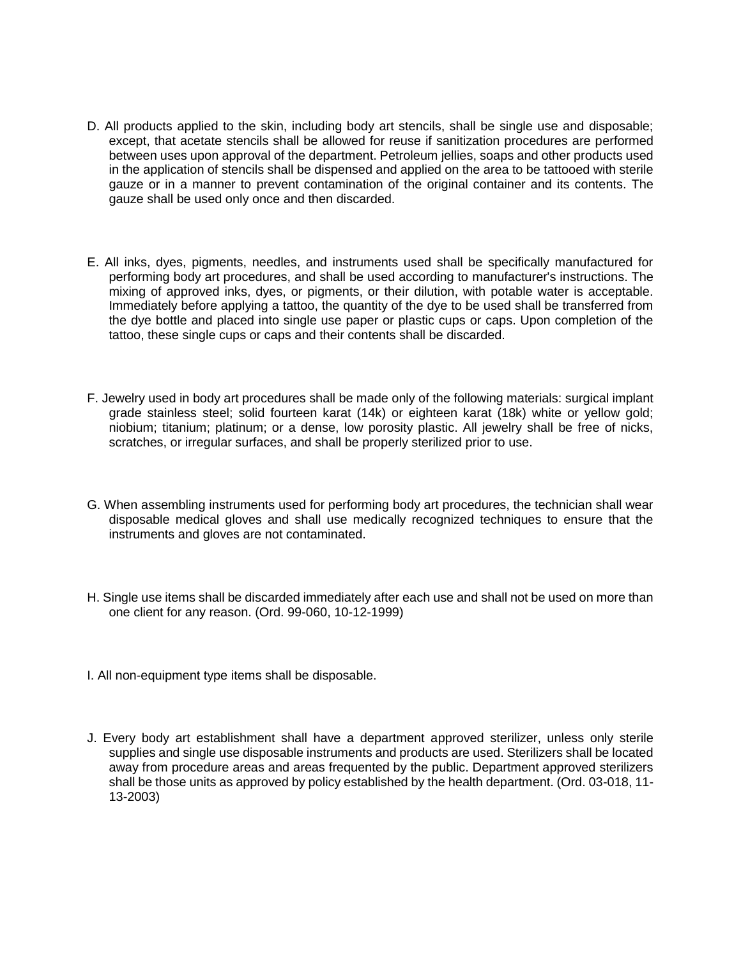- D. All products applied to the skin, including body art stencils, shall be single use and disposable; except, that acetate stencils shall be allowed for reuse if sanitization procedures are performed between uses upon approval of the department. Petroleum jellies, soaps and other products used in the application of stencils shall be dispensed and applied on the area to be tattooed with sterile gauze or in a manner to prevent contamination of the original container and its contents. The gauze shall be used only once and then discarded.
- E. All inks, dyes, pigments, needles, and instruments used shall be specifically manufactured for performing body art procedures, and shall be used according to manufacturer's instructions. The mixing of approved inks, dyes, or pigments, or their dilution, with potable water is acceptable. Immediately before applying a tattoo, the quantity of the dye to be used shall be transferred from the dye bottle and placed into single use paper or plastic cups or caps. Upon completion of the tattoo, these single cups or caps and their contents shall be discarded.
- F. Jewelry used in body art procedures shall be made only of the following materials: surgical implant grade stainless steel; solid fourteen karat (14k) or eighteen karat (18k) white or yellow gold; niobium; titanium; platinum; or a dense, low porosity plastic. All jewelry shall be free of nicks, scratches, or irregular surfaces, and shall be properly sterilized prior to use.
- G. When assembling instruments used for performing body art procedures, the technician shall wear disposable medical gloves and shall use medically recognized techniques to ensure that the instruments and gloves are not contaminated.
- H. Single use items shall be discarded immediately after each use and shall not be used on more than one client for any reason. (Ord. 99-060, 10-12-1999)
- I. All non-equipment type items shall be disposable.
- J. Every body art establishment shall have a department approved sterilizer, unless only sterile supplies and single use disposable instruments and products are used. Sterilizers shall be located away from procedure areas and areas frequented by the public. Department approved sterilizers shall be those units as approved by policy established by the health department. (Ord. 03-018, 11- 13-2003)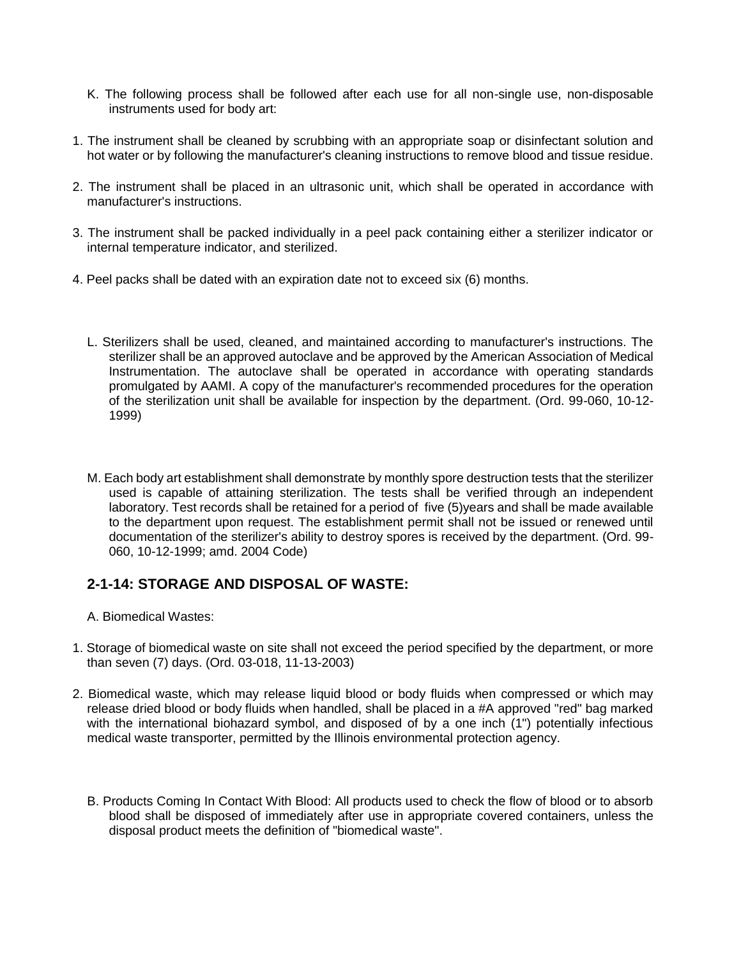- K. The following process shall be followed after each use for all non-single use, non-disposable instruments used for body art:
- 1. The instrument shall be cleaned by scrubbing with an appropriate soap or disinfectant solution and hot water or by following the manufacturer's cleaning instructions to remove blood and tissue residue.
- 2. The instrument shall be placed in an ultrasonic unit, which shall be operated in accordance with manufacturer's instructions.
- 3. The instrument shall be packed individually in a peel pack containing either a sterilizer indicator or internal temperature indicator, and sterilized.
- 4. Peel packs shall be dated with an expiration date not to exceed six (6) months.
	- L. Sterilizers shall be used, cleaned, and maintained according to manufacturer's instructions. The sterilizer shall be an approved autoclave and be approved by the American Association of Medical Instrumentation. The autoclave shall be operated in accordance with operating standards promulgated by AAMI. A copy of the manufacturer's recommended procedures for the operation of the sterilization unit shall be available for inspection by the department. (Ord. 99-060, 10-12- 1999)
	- M. Each body art establishment shall demonstrate by monthly spore destruction tests that the sterilizer used is capable of attaining sterilization. The tests shall be verified through an independent laboratory. Test records shall be retained for a period of five (5)years and shall be made available to the department upon request. The establishment permit shall not be issued or renewed until documentation of the sterilizer's ability to destroy spores is received by the department. (Ord. 99- 060, 10-12-1999; amd. 2004 Code)

#### **2-1-14: STORAGE AND DISPOSAL OF WASTE:**

- A. Biomedical Wastes:
- 1. Storage of biomedical waste on site shall not exceed the period specified by the department, or more than seven (7) days. (Ord. 03-018, 11-13-2003)
- 2. Biomedical waste, which may release liquid blood or body fluids when compressed or which may release dried blood or body fluids when handled, shall be placed in a #A approved "red" bag marked with the international biohazard symbol, and disposed of by a one inch (1") potentially infectious medical waste transporter, permitted by the Illinois environmental protection agency.
	- B. Products Coming In Contact With Blood: All products used to check the flow of blood or to absorb blood shall be disposed of immediately after use in appropriate covered containers, unless the disposal product meets the definition of "biomedical waste".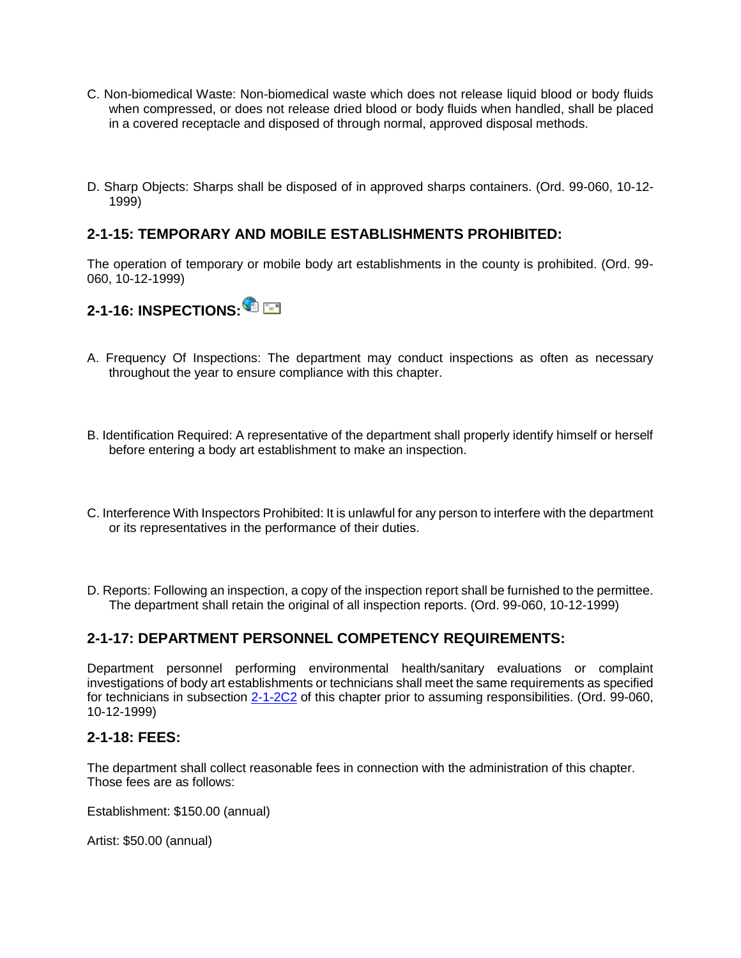- C. Non-biomedical Waste: Non-biomedical waste which does not release liquid blood or body fluids when compressed, or does not release dried blood or body fluids when handled, shall be placed in a covered receptacle and disposed of through normal, approved disposal methods.
- D. Sharp Objects: Sharps shall be disposed of in approved sharps containers. (Ord. 99-060, 10-12- 1999)

#### **2-1-15: TEMPORARY AND MOBILE ESTABLISHMENTS PROHIBITED:**

The operation of temporary or mobile body art establishments in the county is prohibited. (Ord. 99- 060, 10-12-1999)



- A. Frequency Of Inspections: The department may conduct inspections as often as necessary throughout the year to ensure compliance with this chapter.
- B. Identification Required: A representative of the department shall properly identify himself or herself before entering a body art establishment to make an inspection.
- C. Interference With Inspectors Prohibited: It is unlawful for any person to interfere with the department or its representatives in the performance of their duties.
- D. Reports: Following an inspection, a copy of the inspection report shall be furnished to the permittee. The department shall retain the original of all inspection reports. (Ord. 99-060, 10-12-1999)

#### **2-1-17: DEPARTMENT PERSONNEL COMPETENCY REQUIREMENTS:**

Department personnel performing environmental health/sanitary evaluations or complaint investigations of body art establishments or technicians shall meet the same requirements as specified for technicians in subsection [2-1-2C2](http://www.sterlingcodifiers.com/codebook/getBookData.php?ft=3&find=2-1-2C2) of this chapter prior to assuming responsibilities. (Ord. 99-060, 10-12-1999)

#### **2-1-18: FEES:**

The department shall collect reasonable fees in connection with the administration of this chapter. Those fees are as follows:

Establishment: \$150.00 (annual)

Artist: \$50.00 (annual)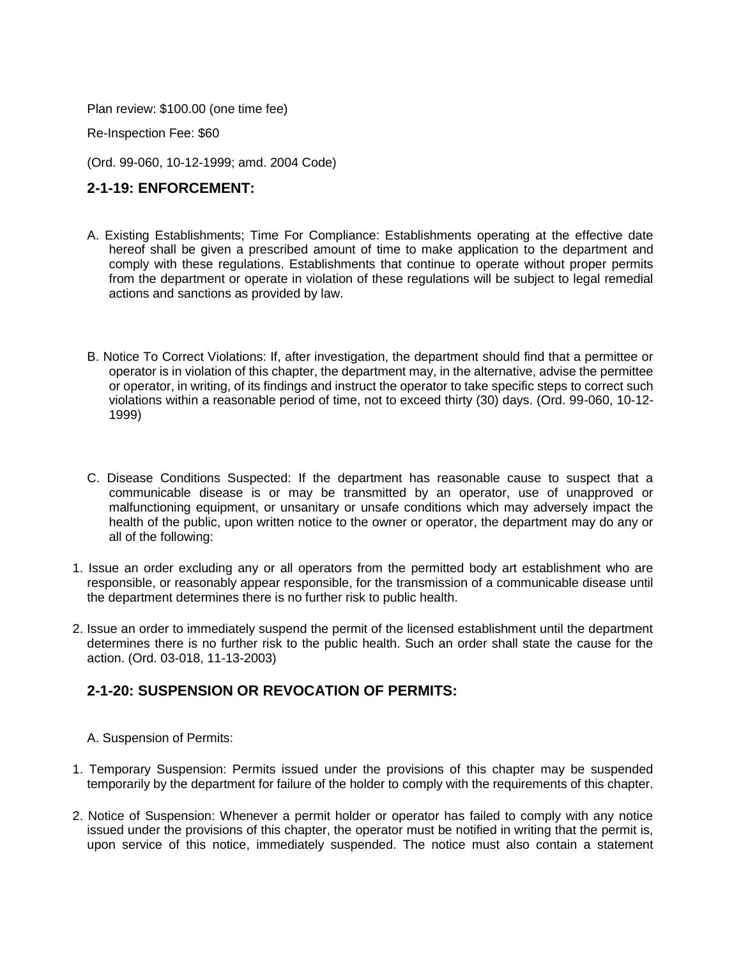Plan review: \$100.00 (one time fee)

Re-Inspection Fee: \$60

(Ord. 99-060, 10-12-1999; amd. 2004 Code)

#### **2-1-19: ENFORCEMENT:**

- A. Existing Establishments; Time For Compliance: Establishments operating at the effective date hereof shall be given a prescribed amount of time to make application to the department and comply with these regulations. Establishments that continue to operate without proper permits from the department or operate in violation of these regulations will be subject to legal remedial actions and sanctions as provided by law.
- B. Notice To Correct Violations: If, after investigation, the department should find that a permittee or operator is in violation of this chapter, the department may, in the alternative, advise the permittee or operator, in writing, of its findings and instruct the operator to take specific steps to correct such violations within a reasonable period of time, not to exceed thirty (30) days. (Ord. 99-060, 10-12- 1999)
- C. Disease Conditions Suspected: If the department has reasonable cause to suspect that a communicable disease is or may be transmitted by an operator, use of unapproved or malfunctioning equipment, or unsanitary or unsafe conditions which may adversely impact the health of the public, upon written notice to the owner or operator, the department may do any or all of the following:
- 1. Issue an order excluding any or all operators from the permitted body art establishment who are responsible, or reasonably appear responsible, for the transmission of a communicable disease until the department determines there is no further risk to public health.
- 2. Issue an order to immediately suspend the permit of the licensed establishment until the department determines there is no further risk to the public health. Such an order shall state the cause for the action. (Ord. 03-018, 11-13-2003)

#### **2-1-20: SUSPENSION OR REVOCATION OF PERMITS:**

- A. Suspension of Permits:
- 1. Temporary Suspension: Permits issued under the provisions of this chapter may be suspended temporarily by the department for failure of the holder to comply with the requirements of this chapter.
- 2. Notice of Suspension: Whenever a permit holder or operator has failed to comply with any notice issued under the provisions of this chapter, the operator must be notified in writing that the permit is, upon service of this notice, immediately suspended. The notice must also contain a statement